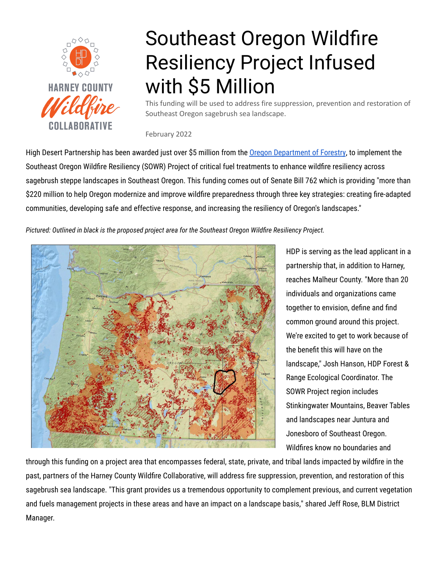

## Southeast Oregon Wildfire Resiliency Project Infused with \$5 Million

This funding will be used to address fire suppression, prevention and restoration of Southeast Oregon sagebrush sea landscape.

February 2022

High Desert Partnership has been awarded just over \$5 million from the Oregon [Department](https://oregonforestry.wpengine.com/2022/02/16/forestry-department-awards-20-million-for-landscape-scale-resiliency-projects/) of Forestry, to implement the Southeast Oregon Wildfire Resiliency (SOWR) Project of critical fuel treatments to enhance wildfire resiliency across sagebrush steppe landscapes in Southeast Oregon. This funding comes out of Senate Bill 762 which is providing "more than \$220 million to help Oregon modernize and improve wildfire preparedness through three key strategies: creating fire-adapted communities, developing safe and effective response, and increasing the resiliency of Oregon's landscapes."

*Pictured: Outlined in black is the proposed project area for the Southeast Oregon Wildfire Resiliency Project.*



HDP is serving as the lead applicant in a partnership that, in addition to Harney, reaches Malheur County. "More than 20 individuals and organizations came together to envision, define and find common ground around this project. We're excited to get to work because of the benefit this will have on the landscape," Josh Hanson, HDP Forest & Range Ecological Coordinator. The SOWR Project region includes Stinkingwater Mountains, Beaver Tables and landscapes near Juntura and Jonesboro of Southeast Oregon. Wildfires know no boundaries and

through this funding on a project area that encompasses federal, state, private, and tribal lands impacted by wildfire in the past, partners of the Harney County Wildfire Collaborative, will address fire suppression, prevention, and restoration of this sagebrush sea landscape. "This grant provides us a tremendous opportunity to complement previous, and current vegetation and fuels management projects in these areas and have an impact on a landscape basis," shared Jeff Rose, BLM District Manager.